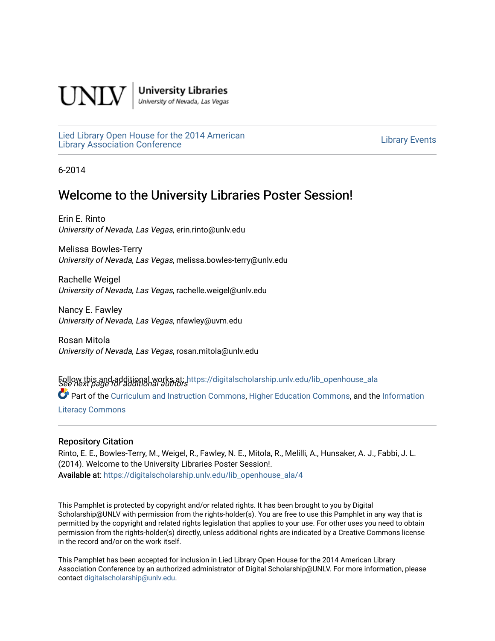

**University Libraries**<br>University of Nevada, Las Vegas

[Lied Library Open House for the 2014 American](https://digitalscholarship.unlv.edu/lib_openhouse_ala) Library Open House for the 2014 American<br>Library Association Conference

6-2014

#### Welcome to the University Libraries Poster Session!

Erin E. Rinto University of Nevada, Las Vegas, erin.rinto@unlv.edu

Melissa Bowles-Terry University of Nevada, Las Vegas, melissa.bowles-terry@unlv.edu

Rachelle Weigel University of Nevada, Las Vegas, rachelle.weigel@unlv.edu

Nancy E. Fawley University of Nevada, Las Vegas, nfawley@uvm.edu

Rosan Mitola University of Nevada, Las Vegas, rosan.mitola@unlv.edu

Follow this and additional works at: https://digitalscholarship.unlv.edu/lib\_openhouse\_ala<br>See next page for additional authors Part of the [Curriculum and Instruction Commons,](http://network.bepress.com/hgg/discipline/786?utm_source=digitalscholarship.unlv.edu%2Flib_openhouse_ala%2F4&utm_medium=PDF&utm_campaign=PDFCoverPages) [Higher Education Commons,](http://network.bepress.com/hgg/discipline/1245?utm_source=digitalscholarship.unlv.edu%2Flib_openhouse_ala%2F4&utm_medium=PDF&utm_campaign=PDFCoverPages) and the [Information](http://network.bepress.com/hgg/discipline/1243?utm_source=digitalscholarship.unlv.edu%2Flib_openhouse_ala%2F4&utm_medium=PDF&utm_campaign=PDFCoverPages)  [Literacy Commons](http://network.bepress.com/hgg/discipline/1243?utm_source=digitalscholarship.unlv.edu%2Flib_openhouse_ala%2F4&utm_medium=PDF&utm_campaign=PDFCoverPages) 

#### Repository Citation

Rinto, E. E., Bowles-Terry, M., Weigel, R., Fawley, N. E., Mitola, R., Melilli, A., Hunsaker, A. J., Fabbi, J. L. (2014). Welcome to the University Libraries Poster Session!. Available at: [https://digitalscholarship.unlv.edu/lib\\_openhouse\\_ala/4](https://digitalscholarship.unlv.edu/lib_openhouse_ala/4) 

This Pamphlet is protected by copyright and/or related rights. It has been brought to you by Digital Scholarship@UNLV with permission from the rights-holder(s). You are free to use this Pamphlet in any way that is permitted by the copyright and related rights legislation that applies to your use. For other uses you need to obtain permission from the rights-holder(s) directly, unless additional rights are indicated by a Creative Commons license in the record and/or on the work itself.

This Pamphlet has been accepted for inclusion in Lied Library Open House for the 2014 American Library Association Conference by an authorized administrator of Digital Scholarship@UNLV. For more information, please contact [digitalscholarship@unlv.edu.](mailto:digitalscholarship@unlv.edu)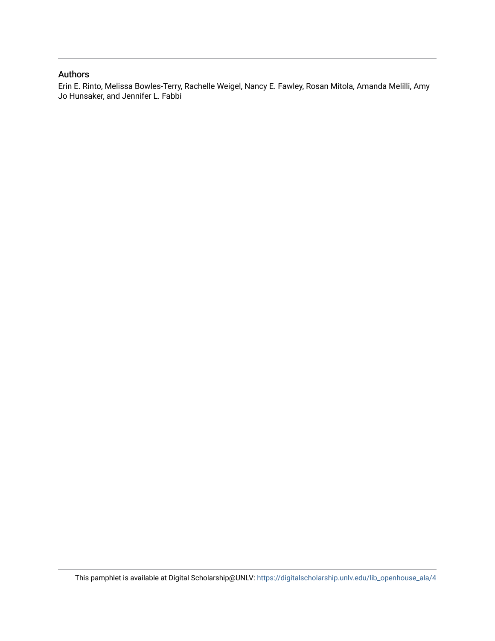#### Authors

Erin E. Rinto, Melissa Bowles-Terry, Rachelle Weigel, Nancy E. Fawley, Rosan Mitola, Amanda Melilli, Amy Jo Hunsaker, and Jennifer L. Fabbi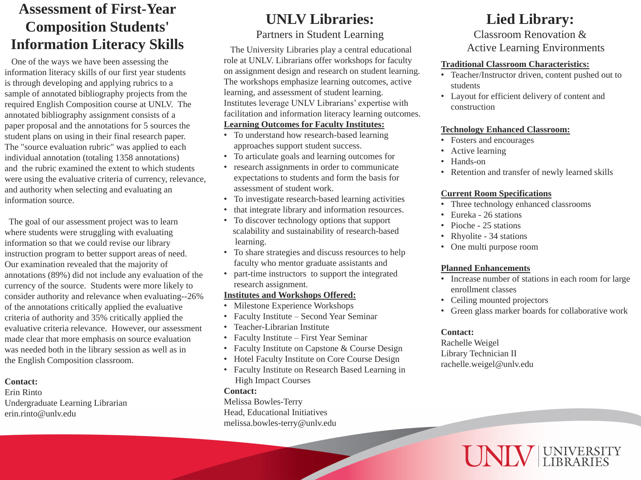The University Libraries play a central educational role at UNLV. Librarians offer workshops for faculty on assignment design and research on student learning. The workshops emphasize learning outcomes, active learning, and assessment of student learning. Institutes leverage UNLV Librarians' expertise with facilitation and information literacy learning outcomes. **Learning Outcomes for Faculty Institutes:**  • To understand how research-based learning approaches support student success.

- Milestone Experience Workshops
- Faculty Institute Second Year Seminar
- Teacher-Librarian Institute
- Faculty Institute First Year Seminar
- Faculty Institute on Capstone & Course Design
- Hotel Faculty Institute on Core Course Design
- Faculty Institute on Research Based Learning in High Impact Courses
- 
- To articulate goals and learning outcomes for
- research assignments in order to communicate expectations to students and form the basis for assessment of student work.
- To investigate research-based learning activities
- that integrate library and information resources.
- To discover technology options that support scalability and sustainability of research-based learning.
- To share strategies and discuss resources to help faculty who mentor graduate assistants and
- part-time instructors to support the integrated research assignment.

Increase number of stations in each room for large • Green glass marker boards for collaborative work



## **Institutes and Workshops Offered:**

#### **Contact:**

Melissa Bowles-Terry Head, Educational Initiatives melissa.bowles-terry@unlv.edu

**Traditional Classroom Characteristics:** • Teacher/Instructor driven, content pushed out to

• Layout for efficient delivery of content and

- students
- construction

Retention and transfer of newly learned skills

## **Technology Enhanced Classroom:**

- Fosters and encourages
- Active learning
- Hands-on
- 

## **Current Room Specifications**

• Three technology enhanced classrooms

The goal of our assessment project was to learn where students were struggling with evaluating information so that we could revise our library instruction program to better support areas of need. Our examination revealed that the majority of annotations (89%) did not include any evaluation of the currency of the source. Students were more likely to consider authority and relevance when evaluating--26% of the annotations critically applied the evaluative criteria of authority and 35% critically applied the evaluative criteria relevance. However, our assessment made clear that more emphasis on source evaluation was needed both in the library session as well as in the English Composition classroom.

- 
- Eureka 26 stations
- Pioche 25 stations
- Rhyolite 34 stations
- One multi purpose room

## **Planned Enhancements**

- 
- enrollment classes
- Ceiling mounted projectors
- 

#### **Contact:**

Rachelle Weigel Library Technician II rachelle.weigel@unlv.edu

# **Lied Library:**

Classroom Renovation &

Active Learning Environments

# **UNLV Libraries:**  Partners in Student Learning

 One of the ways we have been assessing the information literacy skills of our first year students is through developing and applying rubrics to a sample of annotated bibliography projects from the required English Composition course at UNLV. The annotated bibliography assignment consists of a paper proposal and the annotations for 5 sources the student plans on using in their final research paper. The "source evaluation rubric" was applied to each individual annotation (totaling 1358 annotations) and the rubric examined the extent to which students were using the evaluative criteria of currency, relevance, and authority when selecting and evaluating an information source.

#### **Contact:**

Erin Rinto Undergraduate Learning Librarian erin.rinto@unlv.edu

- 
- 

# **Assessment of First-Year Composition Students' Information Literacy Skills**